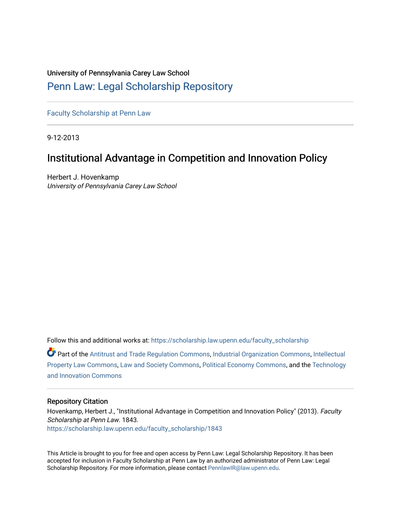## University of Pennsylvania Carey Law School

## [Penn Law: Legal Scholarship Repository](https://scholarship.law.upenn.edu/)

[Faculty Scholarship at Penn Law](https://scholarship.law.upenn.edu/faculty_scholarship)

9-12-2013

# Institutional Advantage in Competition and Innovation Policy

Herbert J. Hovenkamp University of Pennsylvania Carey Law School

Follow this and additional works at: [https://scholarship.law.upenn.edu/faculty\\_scholarship](https://scholarship.law.upenn.edu/faculty_scholarship?utm_source=scholarship.law.upenn.edu%2Ffaculty_scholarship%2F1843&utm_medium=PDF&utm_campaign=PDFCoverPages) 

Part of the [Antitrust and Trade Regulation Commons,](http://network.bepress.com/hgg/discipline/911?utm_source=scholarship.law.upenn.edu%2Ffaculty_scholarship%2F1843&utm_medium=PDF&utm_campaign=PDFCoverPages) [Industrial Organization Commons](http://network.bepress.com/hgg/discipline/347?utm_source=scholarship.law.upenn.edu%2Ffaculty_scholarship%2F1843&utm_medium=PDF&utm_campaign=PDFCoverPages), [Intellectual](http://network.bepress.com/hgg/discipline/896?utm_source=scholarship.law.upenn.edu%2Ffaculty_scholarship%2F1843&utm_medium=PDF&utm_campaign=PDFCoverPages) [Property Law Commons](http://network.bepress.com/hgg/discipline/896?utm_source=scholarship.law.upenn.edu%2Ffaculty_scholarship%2F1843&utm_medium=PDF&utm_campaign=PDFCoverPages), [Law and Society Commons,](http://network.bepress.com/hgg/discipline/853?utm_source=scholarship.law.upenn.edu%2Ffaculty_scholarship%2F1843&utm_medium=PDF&utm_campaign=PDFCoverPages) [Political Economy Commons](http://network.bepress.com/hgg/discipline/352?utm_source=scholarship.law.upenn.edu%2Ffaculty_scholarship%2F1843&utm_medium=PDF&utm_campaign=PDFCoverPages), and the [Technology](http://network.bepress.com/hgg/discipline/644?utm_source=scholarship.law.upenn.edu%2Ffaculty_scholarship%2F1843&utm_medium=PDF&utm_campaign=PDFCoverPages) [and Innovation Commons](http://network.bepress.com/hgg/discipline/644?utm_source=scholarship.law.upenn.edu%2Ffaculty_scholarship%2F1843&utm_medium=PDF&utm_campaign=PDFCoverPages)

#### Repository Citation

Hovenkamp, Herbert J., "Institutional Advantage in Competition and Innovation Policy" (2013). Faculty Scholarship at Penn Law. 1843. [https://scholarship.law.upenn.edu/faculty\\_scholarship/1843](https://scholarship.law.upenn.edu/faculty_scholarship/1843?utm_source=scholarship.law.upenn.edu%2Ffaculty_scholarship%2F1843&utm_medium=PDF&utm_campaign=PDFCoverPages)

This Article is brought to you for free and open access by Penn Law: Legal Scholarship Repository. It has been accepted for inclusion in Faculty Scholarship at Penn Law by an authorized administrator of Penn Law: Legal Scholarship Repository. For more information, please contact [PennlawIR@law.upenn.edu.](mailto:PennlawIR@law.upenn.edu)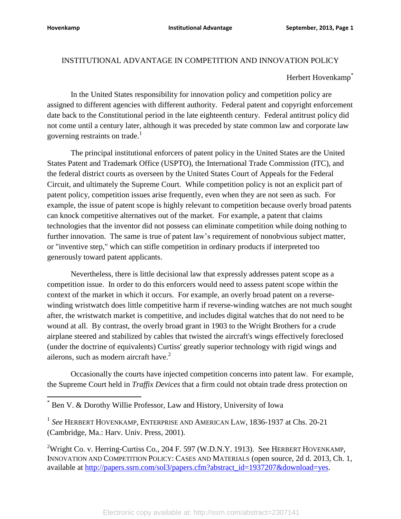## INSTITUTIONAL ADVANTAGE IN COMPETITION AND INNOVATION POLICY

## Herbert Hovenkamp<sup>\*</sup>

In the United States responsibility for innovation policy and competition policy are assigned to different agencies with different authority. Federal patent and copyright enforcement date back to the Constitutional period in the late eighteenth century. Federal antitrust policy did not come until a century later, although it was preceded by state common law and corporate law governing restraints on trade.<sup>1</sup>

The principal institutional enforcers of patent policy in the United States are the United States Patent and Trademark Office (USPTO), the International Trade Commission (ITC), and the federal district courts as overseen by the United States Court of Appeals for the Federal Circuit, and ultimately the Supreme Court. While competition policy is not an explicit part of patent policy, competition issues arise frequently, even when they are not seen as such. For example, the issue of patent scope is highly relevant to competition because overly broad patents can knock competitive alternatives out of the market. For example, a patent that claims technologies that the inventor did not possess can eliminate competition while doing nothing to further innovation. The same is true of patent law's requirement of nonobvious subject matter, or "inventive step," which can stifle competition in ordinary products if interpreted too generously toward patent applicants.

Nevertheless, there is little decisional law that expressly addresses patent scope as a competition issue. In order to do this enforcers would need to assess patent scope within the context of the market in which it occurs. For example, an overly broad patent on a reversewinding wristwatch does little competitive harm if reverse-winding watches are not much sought after, the wristwatch market is competitive, and includes digital watches that do not need to be wound at all. By contrast, the overly broad grant in 1903 to the Wright Brothers for a crude airplane steered and stabilized by cables that twisted the aircraft's wings effectively foreclosed (under the doctrine of equivalents) Curtiss' greatly superior technology with rigid wings and ailerons, such as modern aircraft have.<sup>2</sup>

Occasionally the courts have injected competition concerns into patent law. For example, the Supreme Court held in *Traffix Devices* that a firm could not obtain trade dress protection on

<sup>\*</sup> Ben V. & Dorothy Willie Professor, Law and History, University of Iowa

<sup>1</sup> *See* HERBERT HOVENKAMP, ENTERPRISE AND AMERICAN LAW, 1836-1937 at Chs. 20-21 (Cambridge, Ma.: Harv. Univ. Press, 2001).

<sup>&</sup>lt;sup>2</sup>Wright Co. v. Herring-Curtiss Co., 204 F. 597 (W.D.N.Y. 1913). See HERBERT HOVENKAMP, INNOVATION AND COMPETITION POLICY: CASES AND MATERIALS (open source, 2d d. 2013, Ch. 1, available at [http://papers.ssrn.com/sol3/papers.cfm?abstract\\_id=1937207&download=yes.](http://papers.ssrn.com/sol3/papers.cfm?abstract_id=1937207&download=yes)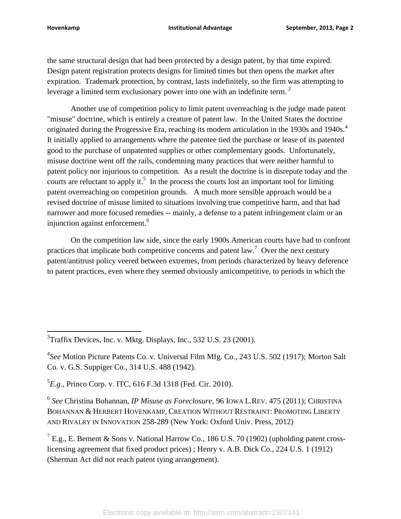the same structural design that had been protected by a design patent, by that time expired. Design patent registration protects designs for limited times but then opens the market after expiration. Trademark protection, by contrast, lasts indefinitely, so the firm was attempting to leverage a limited term exclusionary power into one with an indefinite term. *3*

Another use of competition policy to limit patent overreaching is the judge made patent "misuse" doctrine, which is entirely a creature of patent law. In the United States the doctrine originated during the Progressive Era, reaching its modern articulation in the 1930s and 1940s.<sup>4</sup> It initially applied to arrangements where the patentee tied the purchase or lease of its patented good to the purchase of unpatented supplies or other complementary goods. Unfortunately, misuse doctrine went off the rails, condemning many practices that were neither harmful to patent policy nor injurious to competition. As a result the doctrine is in disrepute today and the courts are reluctant to apply it.<sup>5</sup> In the process the courts lost an important tool for limiting patent overreaching on competition grounds. A much more sensible approach would be a revised doctrine of misuse limited to situations involving true competitive harm, and that had narrower and more focused remedies -- mainly, a defense to a patent infringement claim or an injunction against enforcement.<sup>6</sup>

On the competition law side, since the early 1900s American courts have had to confront practices that implicate both competitive concerns and patent  $law$ .<sup>7</sup> Over the next century patent/antitrust policy veered between extremes, from periods characterized by heavy deference to patent practices, even where they seemed obviously anticompetitive, to periods in which the

5 *E.g.,* Princo Corp. v. ITC, 616 F.3d 1318 (Fed. Cir. 2010).

6 *See* Christina Bohannan, *IP Misuse as Foreclosure*, 96 IOWA L.REV. 475 (2011); CHRISTINA BOHANNAN & HERBERT HOVENKAMP, CREATION WITHOUT RESTRAINT: PROMOTING LIBERTY AND RIVALRY IN INNOVATION 258-289 (New York: Oxford Univ. Press, 2012)

 $^{7}$  E.g., E. Bement & Sons v. National Harrow Co., 186 U.S. 70 (1902) (upholding patent crosslicensing agreement that fixed product prices) ; Henry v. A.B. Dick Co., 224 U.S. 1 (1912) (Sherman Act did not reach patent tying arrangement).

 $\overline{\phantom{a}}$  $3$ Traffix Devices, Inc. v. Mktg. Displays, Inc., 532 U.S. 23 (2001).

<sup>4</sup> *See* Motion Picture Patents Co. v. Universal Film Mfg. Co., 243 U.S. 502 (1917); Morton Salt Co. v. G.S. Suppiger Co., 314 U.S. 488 (1942).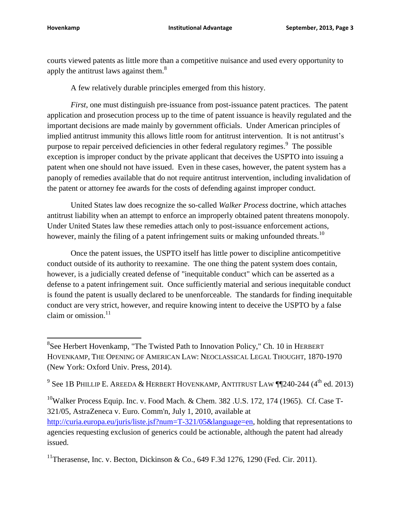l

courts viewed patents as little more than a competitive nuisance and used every opportunity to apply the antitrust laws against them.<sup>8</sup>

A few relatively durable principles emerged from this history.

*First*, one must distinguish pre-issuance from post-issuance patent practices. The patent application and prosecution process up to the time of patent issuance is heavily regulated and the important decisions are made mainly by government officials. Under American principles of implied antitrust immunity this allows little room for antitrust intervention. It is not antitrust's purpose to repair perceived deficiencies in other federal regulatory regimes.<sup>9</sup> The possible exception is improper conduct by the private applicant that deceives the USPTO into issuing a patent when one should not have issued. Even in these cases, however, the patent system has a panoply of remedies available that do not require antitrust intervention, including invalidation of the patent or attorney fee awards for the costs of defending against improper conduct.

United States law does recognize the so-called *Walker Process* doctrine, which attaches antitrust liability when an attempt to enforce an improperly obtained patent threatens monopoly. Under United States law these remedies attach only to post-issuance enforcement actions, however, mainly the filing of a patent infringement suits or making unfounded threats.<sup>10</sup>

Once the patent issues, the USPTO itself has little power to discipline anticompetitive conduct outside of its authority to reexamine. The one thing the patent system does contain, however, is a judicially created defense of "inequitable conduct" which can be asserted as a defense to a patent infringement suit. Once sufficiently material and serious inequitable conduct is found the patent is usually declared to be unenforceable. The standards for finding inequitable conduct are very strict, however, and require knowing intent to deceive the USPTO by a false claim or omission. $11$ 

 $^9$  See 1B Phillip E. Areeda & Herbert Hovenkamp, Antitrust Law ¶¶240-244 (4<sup>th</sup> ed. 2013)

<sup>10</sup>Walker Process Equip. Inc. v. Food Mach. & Chem. 382 .U.S. 172, 174 (1965). Cf. Case T-321/05, AstraZeneca v. Euro. Comm'n, July 1, 2010, available at [http://curia.europa.eu/juris/liste.jsf?num=T-321/05&language=en,](http://curia.europa.eu/juris/liste.jsf?num=T-321/05&language=en) holding that representations to agencies requesting exclusion of generics could be actionable, although the patent had already issued.

<sup>11</sup>Therasense, Inc. v. Becton, Dickinson & Co., 649 F.3d 1276, 1290 (Fed. Cir. 2011).

<sup>&</sup>lt;sup>8</sup>See Herbert Hovenkamp, "The Twisted Path to Innovation Policy," Ch. 10 in HERBERT HOVENKAMP, THE OPENING OF AMERICAN LAW: NEOCLASSICAL LEGAL THOUGHT, 1870-1970 (New York: Oxford Univ. Press, 2014).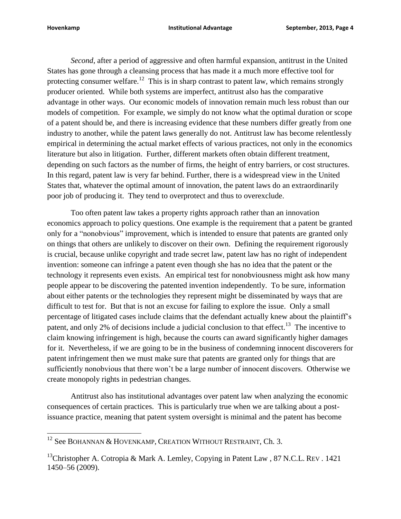*Second*, after a period of aggressive and often harmful expansion, antitrust in the United States has gone through a cleansing process that has made it a much more effective tool for protecting consumer welfare.<sup>12</sup> This is in sharp contrast to patent law, which remains strongly producer oriented. While both systems are imperfect, antitrust also has the comparative advantage in other ways. Our economic models of innovation remain much less robust than our models of competition. For example, we simply do not know what the optimal duration or scope of a patent should be, and there is increasing evidence that these numbers differ greatly from one industry to another, while the patent laws generally do not. Antitrust law has become relentlessly empirical in determining the actual market effects of various practices, not only in the economics literature but also in litigation. Further, different markets often obtain different treatment, depending on such factors as the number of firms, the height of entry barriers, or cost structures. In this regard, patent law is very far behind. Further, there is a widespread view in the United States that, whatever the optimal amount of innovation, the patent laws do an extraordinarily poor job of producing it. They tend to overprotect and thus to overexclude.

Too often patent law takes a property rights approach rather than an innovation economics approach to policy questions. One example is the requirement that a patent be granted only for a "nonobvious" improvement, which is intended to ensure that patents are granted only on things that others are unlikely to discover on their own. Defining the requirement rigorously is crucial, because unlike copyright and trade secret law, patent law has no right of independent invention: someone can infringe a patent even though she has no idea that the patent or the technology it represents even exists. An empirical test for nonobviousness might ask how many people appear to be discovering the patented invention independently. To be sure, information about either patents or the technologies they represent might be disseminated by ways that are difficult to test for. But that is not an excuse for failing to explore the issue. Only a small percentage of litigated cases include claims that the defendant actually knew about the plaintiff's patent, and only 2% of decisions include a judicial conclusion to that effect.<sup>13</sup> The incentive to claim knowing infringement is high, because the courts can award significantly higher damages for it. Nevertheless, if we are going to be in the business of condemning innocent discoverers for patent infringement then we must make sure that patents are granted only for things that are sufficiently nonobvious that there won't be a large number of innocent discovers. Otherwise we create monopoly rights in pedestrian changes.

Antitrust also has institutional advantages over patent law when analyzing the economic consequences of certain practices. This is particularly true when we are talking about a postissuance practice, meaning that patent system oversight is minimal and the patent has become

 $^{12}$  See BOHANNAN & HOVENKAMP, CREATION WITHOUT RESTRAINT, Ch. 3.

<sup>&</sup>lt;sup>13</sup>Christopher A. Cotropia & Mark A. Lemley, Copying in Patent Law, 87 N.C.L. REV. 1421 1450–56 (2009).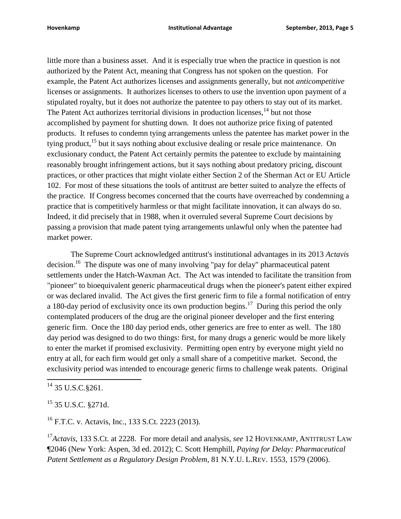little more than a business asset. And it is especially true when the practice in question is not authorized by the Patent Act, meaning that Congress has not spoken on the question. For example, the Patent Act authorizes licenses and assignments generally, but not *anticompetitive* licenses or assignments. It authorizes licenses to others to use the invention upon payment of a stipulated royalty, but it does not authorize the patentee to pay others to stay out of its market. The Patent Act authorizes territorial divisions in production licenses,  $14$  but not those accomplished by payment for shutting down. It does not authorize price fixing of patented products. It refuses to condemn tying arrangements unless the patentee has market power in the tying product,<sup>15</sup> but it says nothing about exclusive dealing or resale price maintenance. On exclusionary conduct, the Patent Act certainly permits the patentee to exclude by maintaining reasonably brought infringement actions, but it says nothing about predatory pricing, discount practices, or other practices that might violate either Section 2 of the Sherman Act or EU Article 102. For most of these situations the tools of antitrust are better suited to analyze the effects of the practice. If Congress becomes concerned that the courts have overreached by condemning a practice that is competitively harmless or that might facilitate innovation, it can always do so. Indeed, it did precisely that in 1988, when it overruled several Supreme Court decisions by passing a provision that made patent tying arrangements unlawful only when the patentee had market power.

The Supreme Court acknowledged antitrust's institutional advantages in its 2013 *Actavis* decision.<sup>16</sup> The dispute was one of many involving "pay for delay" pharmaceutical patent settlements under the Hatch-Waxman Act. The Act was intended to facilitate the transition from "pioneer" to bioequivalent generic pharmaceutical drugs when the pioneer's patent either expired or was declared invalid. The Act gives the first generic firm to file a formal notification of entry a 180-day period of exclusivity once its own production begins.<sup>17</sup> During this period the only contemplated producers of the drug are the original pioneer developer and the first entering generic firm. Once the 180 day period ends, other generics are free to enter as well. The 180 day period was designed to do two things: first, for many drugs a generic would be more likely to enter the market if promised exclusivity. Permitting open entry by everyone might yield no entry at all, for each firm would get only a small share of a competitive market. Second, the exclusivity period was intended to encourage generic firms to challenge weak patents. Original

 $\overline{\phantom{a}}$ 

 $^{16}$  F.T.C. v. Actavis, Inc., 133 S.Ct. 2223 (2013).

<sup>17</sup>Actavis, 133 S.Ct. at 2228. For more detail and analysis, *see* 12 HOVENKAMP, ANTITRUST LAW ¶2046 (New York: Aspen, 3d ed. 2012); C. Scott Hemphill, *Paying for Delay: Pharmaceutical Patent Settlement as a Regulatory Design Problem*, 81 N.Y.U. L.REV. 1553, 1579 (2006).

 $^{14}$  35 U.S.C. § 261.

 $15$  35 U.S.C. §271d.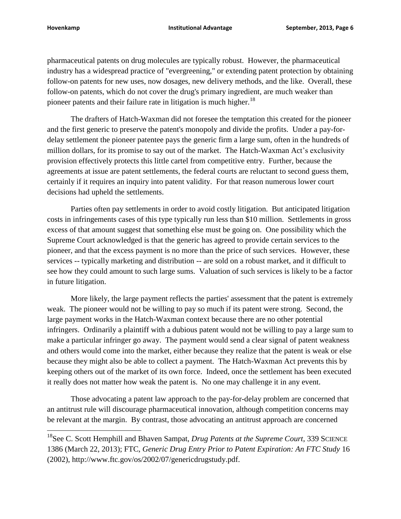pharmaceutical patents on drug molecules are typically robust. However, the pharmaceutical industry has a widespread practice of "evergreening," or extending patent protection by obtaining follow-on patents for new uses, now dosages, new delivery methods, and the like. Overall, these follow-on patents, which do not cover the drug's primary ingredient, are much weaker than pioneer patents and their failure rate in litigation is much higher.<sup>18</sup>

The drafters of Hatch-Waxman did not foresee the temptation this created for the pioneer and the first generic to preserve the patent's monopoly and divide the profits. Under a pay-fordelay settlement the pioneer patentee pays the generic firm a large sum, often in the hundreds of million dollars, for its promise to say out of the market. The Hatch-Waxman Act's exclusivity provision effectively protects this little cartel from competitive entry. Further, because the agreements at issue are patent settlements, the federal courts are reluctant to second guess them, certainly if it requires an inquiry into patent validity. For that reason numerous lower court decisions had upheld the settlements.

Parties often pay settlements in order to avoid costly litigation. But anticipated litigation costs in infringements cases of this type typically run less than \$10 million. Settlements in gross excess of that amount suggest that something else must be going on. One possibility which the Supreme Court acknowledged is that the generic has agreed to provide certain services to the pioneer, and that the excess payment is no more than the price of such services. However, these services -- typically marketing and distribution -- are sold on a robust market, and it difficult to see how they could amount to such large sums. Valuation of such services is likely to be a factor in future litigation.

More likely, the large payment reflects the parties' assessment that the patent is extremely weak. The pioneer would not be willing to pay so much if its patent were strong. Second, the large payment works in the Hatch-Waxman context because there are no other potential infringers. Ordinarily a plaintiff with a dubious patent would not be willing to pay a large sum to make a particular infringer go away. The payment would send a clear signal of patent weakness and others would come into the market, either because they realize that the patent is weak or else because they might also be able to collect a payment. The Hatch-Waxman Act prevents this by keeping others out of the market of its own force. Indeed, once the settlement has been executed it really does not matter how weak the patent is. No one may challenge it in any event.

Those advocating a patent law approach to the pay-for-delay problem are concerned that an antitrust rule will discourage pharmaceutical innovation, although competition concerns may be relevant at the margin. By contrast, those advocating an antitrust approach are concerned

<sup>&</sup>lt;sup>18</sup>See C. Scott Hemphill and Bhaven Sampat, *Drug Patents at the Supreme Court*, 339 SCIENCE 1386 (March 22, 2013); FTC, *Generic Drug Entry Prior to Patent Expiration: An FTC Study* 16 (2002), http://www.ftc.gov/os/2002/07/genericdrugstudy.pdf.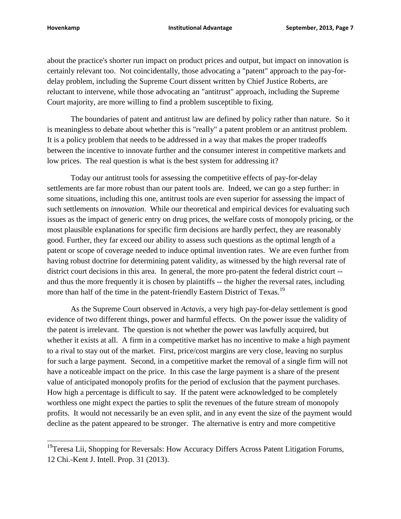about the practice's shorter run impact on product prices and output, but impact on innovation is certainly relevant too. Not coincidentally, those advocating a "patent" approach to the pay-fordelay problem, including the Supreme Court dissent written by Chief Justice Roberts, are reluctant to intervene, while those advocating an "antitrust" approach, including the Supreme Court majority, are more willing to find a problem susceptible to fixing.

The boundaries of patent and antitrust law are defined by policy rather than nature. So it is meaningless to debate about whether this is "really" a patent problem or an antitrust problem. It is a policy problem that needs to be addressed in a way that makes the proper tradeoffs between the incentive to innovate further and the consumer interest in competitive markets and low prices. The real question is what is the best system for addressing it?

Today our antitrust tools for assessing the competitive effects of pay-for-delay settlements are far more robust than our patent tools are. Indeed, we can go a step further: in some situations, including this one, antitrust tools are even superior for assessing the impact of such settlements on *innovation*. While our theoretical and empirical devices for evaluating such issues as the impact of generic entry on drug prices, the welfare costs of monopoly pricing, or the most plausible explanations for specific firm decisions are hardly perfect, they are reasonably good. Further, they far exceed our ability to assess such questions as the optimal length of a patent or scope of coverage needed to induce optimal invention rates. We are even further from having robust doctrine for determining patent validity, as witnessed by the high reversal rate of district court decisions in this area. In general, the more pro-patent the federal district court - and thus the more frequently it is chosen by plaintiffs -- the higher the reversal rates, including more than half of the time in the patent-friendly Eastern District of Texas.<sup>19</sup>

As the Supreme Court observed in *Actavis*, a very high pay-for-delay settlement is good evidence of two different things, power and harmful effects. On the power issue the validity of the patent is irrelevant. The question is not whether the power was lawfully acquired, but whether it exists at all. A firm in a competitive market has no incentive to make a high payment to a rival to stay out of the market. First, price/cost margins are very close, leaving no surplus for such a large payment. Second, in a competitive market the removal of a single firm will not have a noticeable impact on the price. In this case the large payment is a share of the present value of anticipated monopoly profits for the period of exclusion that the payment purchases. How high a percentage is difficult to say. If the patent were acknowledged to be completely worthless one might expect the parties to split the revenues of the future stream of monopoly profits. It would not necessarily be an even split, and in any event the size of the payment would decline as the patent appeared to be stronger. The alternative is entry and more competitive

<sup>&</sup>lt;sup>19</sup>Teresa Lii, Shopping for Reversals: How Accuracy Differs Across Patent Litigation Forums, 12 Chi.-Kent J. Intell. Prop. 31 (2013).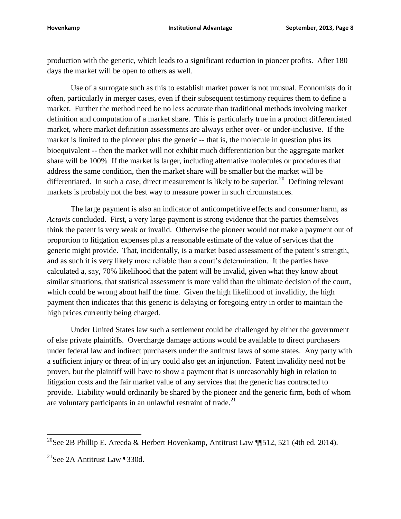production with the generic, which leads to a significant reduction in pioneer profits. After 180 days the market will be open to others as well.

Use of a surrogate such as this to establish market power is not unusual. Economists do it often, particularly in merger cases, even if their subsequent testimony requires them to define a market. Further the method need be no less accurate than traditional methods involving market definition and computation of a market share. This is particularly true in a product differentiated market, where market definition assessments are always either over- or under-inclusive. If the market is limited to the pioneer plus the generic -- that is, the molecule in question plus its bioequivalent -- then the market will not exhibit much differentiation but the aggregate market share will be 100% If the market is larger, including alternative molecules or procedures that address the same condition, then the market share will be smaller but the market will be differentiated. In such a case, direct measurement is likely to be superior.<sup>20</sup> Defining relevant markets is probably not the best way to measure power in such circumstances.

The large payment is also an indicator of anticompetitive effects and consumer harm, as *Actavis* concluded. First, a very large payment is strong evidence that the parties themselves think the patent is very weak or invalid. Otherwise the pioneer would not make a payment out of proportion to litigation expenses plus a reasonable estimate of the value of services that the generic might provide. That, incidentally, is a market based assessment of the patent's strength, and as such it is very likely more reliable than a court's determination. It the parties have calculated a, say, 70% likelihood that the patent will be invalid, given what they know about similar situations, that statistical assessment is more valid than the ultimate decision of the court, which could be wrong about half the time. Given the high likelihood of invalidity, the high payment then indicates that this generic is delaying or foregoing entry in order to maintain the high prices currently being charged.

Under United States law such a settlement could be challenged by either the government of else private plaintiffs. Overcharge damage actions would be available to direct purchasers under federal law and indirect purchasers under the antitrust laws of some states. Any party with a sufficient injury or threat of injury could also get an injunction. Patent invalidity need not be proven, but the plaintiff will have to show a payment that is unreasonably high in relation to litigation costs and the fair market value of any services that the generic has contracted to provide. Liability would ordinarily be shared by the pioneer and the generic firm, both of whom are voluntary participants in an unlawful restraint of trade.<sup>21</sup>

l

<sup>&</sup>lt;sup>20</sup>See 2B Phillip E. Areeda & Herbert Hovenkamp, Antitrust Law ¶¶512, 521 (4th ed. 2014).

 $21$ See 2A Antitrust Law ¶330d.